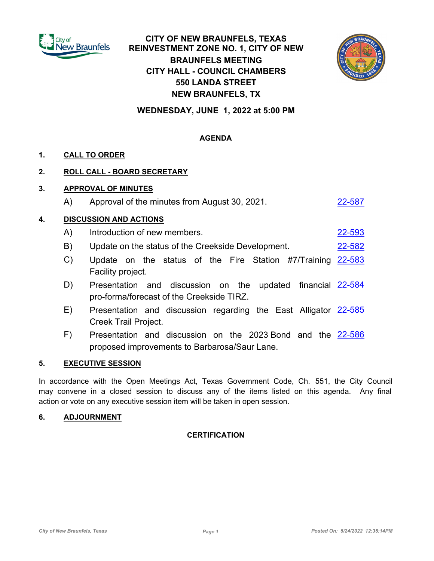

# **CITY OF NEW BRAUNFELS, TEXAS REINVESTMENT ZONE NO. 1, CITY OF NEW BRAUNFELS MEETING CITY HALL - COUNCIL CHAMBERS 550 LANDA STREET NEW BRAUNFELS, TX**



**WEDNESDAY, JUNE 1, 2022 at 5:00 PM**

# **AGENDA**

# **1. CALL TO ORDER**

## **2. ROLL CALL - BOARD SECRETARY**

## **3. APPROVAL OF MINUTES**

A) Approval of the minutes from August 30, 2021.

## **4. DISCUSSION AND ACTIONS**

- A) Introduction of new members. [22-593](http://newbraunfels.legistar.com/gateway.aspx?m=l&id=/matter.aspx?key=10606)
- B) Update on the status of the Creekside Development. [22-582](http://newbraunfels.legistar.com/gateway.aspx?m=l&id=/matter.aspx?key=10595)
- C) Update on the status of the Fire Station #7/Training [22-583](http://newbraunfels.legistar.com/gateway.aspx?m=l&id=/matter.aspx?key=10596) Facility project.
- D) Presentation and discussion on the updated financial [22-584](http://newbraunfels.legistar.com/gateway.aspx?m=l&id=/matter.aspx?key=10597) pro-forma/forecast of the Creekside TIRZ.
- E) Presentation and discussion regarding the East Alligator [22-585](http://newbraunfels.legistar.com/gateway.aspx?m=l&id=/matter.aspx?key=10598) Creek Trail Project.
- F) Presentation and discussion on the 2023 Bond and the [22-586](http://newbraunfels.legistar.com/gateway.aspx?m=l&id=/matter.aspx?key=10599) proposed improvements to Barbarosa/Saur Lane.

#### **5. EXECUTIVE SESSION**

In accordance with the Open Meetings Act, Texas Government Code, Ch. 551, the City Council may convene in a closed session to discuss any of the items listed on this agenda. Any final action or vote on any executive session item will be taken in open session.

#### **6. ADJOURNMENT**

#### **CERTIFICATION**